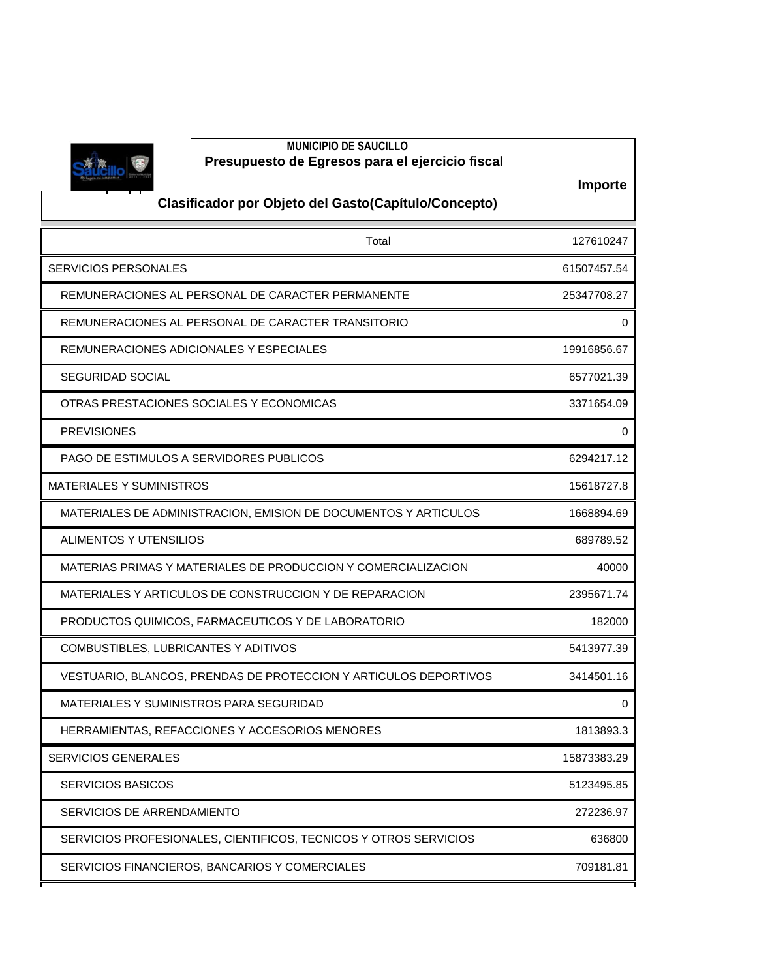

## **MUNICIPIO DE SAUCILLO Presupuesto de Egresos para el ejercicio fiscal**

**2020**

**Importe**

## **Clasificador por Objeto del Gasto(Capítulo/Concepto)**

| Total                                                            | 127610247   |
|------------------------------------------------------------------|-------------|
| <b>SERVICIOS PERSONALES</b>                                      | 61507457.54 |
| REMUNERACIONES AL PERSONAL DE CARACTER PERMANENTE                | 25347708.27 |
| REMUNERACIONES AL PERSONAL DE CARACTER TRANSITORIO               | 0           |
| REMUNERACIONES ADICIONALES Y ESPECIALES                          | 19916856.67 |
| <b>SEGURIDAD SOCIAL</b>                                          | 6577021.39  |
| OTRAS PRESTACIONES SOCIALES Y ECONOMICAS                         | 3371654.09  |
| <b>PREVISIONES</b>                                               | 0           |
| <b>PAGO DE ESTIMULOS A SERVIDORES PUBLICOS</b>                   | 6294217.12  |
| <b>MATERIALES Y SUMINISTROS</b>                                  | 15618727.8  |
| MATERIALES DE ADMINISTRACION, EMISION DE DOCUMENTOS Y ARTICULOS  | 1668894.69  |
| ALIMENTOS Y UTENSILIOS                                           | 689789.52   |
| MATERIAS PRIMAS Y MATERIALES DE PRODUCCION Y COMERCIALIZACION    | 40000       |
| MATERIALES Y ARTICULOS DE CONSTRUCCION Y DE REPARACION           | 2395671.74  |
| PRODUCTOS QUIMICOS, FARMACEUTICOS Y DE LABORATORIO               | 182000      |
| COMBUSTIBLES, LUBRICANTES Y ADITIVOS                             | 5413977.39  |
| VESTUARIO, BLANCOS, PRENDAS DE PROTECCION Y ARTICULOS DEPORTIVOS | 3414501.16  |
| MATERIALES Y SUMINISTROS PARA SEGURIDAD                          | 0           |
| HERRAMIENTAS, REFACCIONES Y ACCESORIOS MENORES                   | 1813893.3   |
| <b>SERVICIOS GENERALES</b>                                       | 15873383.29 |
| <b>SERVICIOS BASICOS</b>                                         | 5123495.85  |
| SERVICIOS DE ARRENDAMIENTO                                       | 272236.97   |
| SERVICIOS PROFESIONALES, CIENTIFICOS, TECNICOS Y OTROS SERVICIOS | 636800      |
| SERVICIOS FINANCIEROS, BANCARIOS Y COMERCIALES                   | 709181.81   |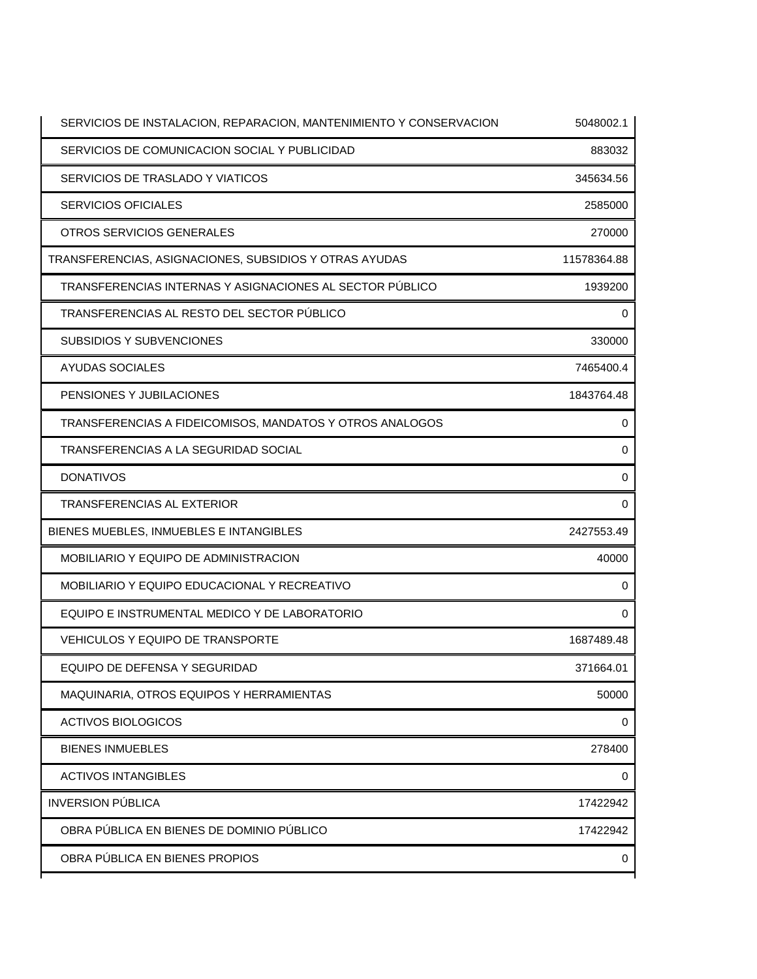| SERVICIOS DE INSTALACION, REPARACION, MANTENIMIENTO Y CONSERVACION | 5048002.1   |
|--------------------------------------------------------------------|-------------|
| SERVICIOS DE COMUNICACION SOCIAL Y PUBLICIDAD                      | 883032      |
| SERVICIOS DE TRASLADO Y VIATICOS                                   | 345634.56   |
| <b>SERVICIOS OFICIALES</b>                                         | 2585000     |
| OTROS SERVICIOS GENERALES                                          | 270000      |
| TRANSFERENCIAS, ASIGNACIONES, SUBSIDIOS Y OTRAS AYUDAS             | 11578364.88 |
| TRANSFERENCIAS INTERNAS Y ASIGNACIONES AL SECTOR PÚBLICO           | 1939200     |
| TRANSFERENCIAS AL RESTO DEL SECTOR PÚBLICO                         | 0           |
| SUBSIDIOS Y SUBVENCIONES                                           | 330000      |
| <b>AYUDAS SOCIALES</b>                                             | 7465400.4   |
| PENSIONES Y JUBILACIONES                                           | 1843764.48  |
| TRANSFERENCIAS A FIDEICOMISOS, MANDATOS Y OTROS ANALOGOS           | 0           |
| TRANSFERENCIAS A LA SEGURIDAD SOCIAL                               | 0           |
| <b>DONATIVOS</b>                                                   | 0           |
| TRANSFERENCIAS AL EXTERIOR                                         | 0           |
| BIENES MUEBLES, INMUEBLES E INTANGIBLES                            | 2427553.49  |
| MOBILIARIO Y EQUIPO DE ADMINISTRACION                              | 40000       |
| MOBILIARIO Y EQUIPO EDUCACIONAL Y RECREATIVO                       | 0           |
| EQUIPO E INSTRUMENTAL MEDICO Y DE LABORATORIO                      | 0           |
| VEHICULOS Y EQUIPO DE TRANSPORTE                                   | 1687489.48  |
| EQUIPO DE DEFENSA Y SEGURIDAD                                      | 371664.01   |
| MAQUINARIA, OTROS EQUIPOS Y HERRAMIENTAS                           | 50000       |
| <b>ACTIVOS BIOLOGICOS</b>                                          | 0           |
| <b>BIENES INMUEBLES</b>                                            | 278400      |
| <b>ACTIVOS INTANGIBLES</b>                                         | 0           |
| <b>INVERSION PÚBLICA</b>                                           | 17422942    |
| OBRA PÚBLICA EN BIENES DE DOMINIO PÚBLICO                          | 17422942    |
| OBRA PÚBLICA EN BIENES PROPIOS                                     | 0           |